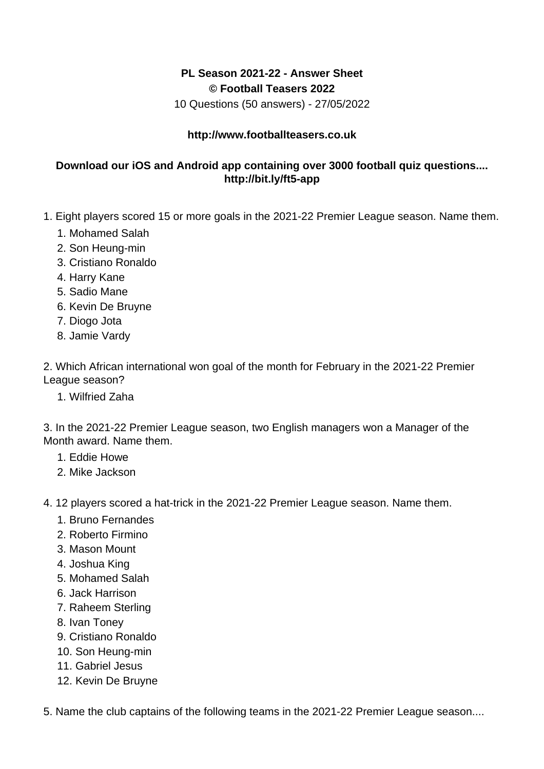## **PL Season 2021-22 - Answer Sheet © Football Teasers 2022**

10 Questions (50 answers) - 27/05/2022

## **http://www.footballteasers.co.uk**

## **Download our iOS and Android app containing over 3000 football quiz questions.... http://bit.ly/ft5-app**

- 1. Eight players scored 15 or more goals in the 2021-22 Premier League season. Name them.
	- 1. Mohamed Salah
	- 2. Son Heung-min
	- 3. Cristiano Ronaldo
	- 4. Harry Kane
	- 5. Sadio Mane
	- 6. Kevin De Bruyne
	- 7. Diogo Jota
	- 8. Jamie Vardy

2. Which African international won goal of the month for February in the 2021-22 Premier League season?

1. Wilfried Zaha

3. In the 2021-22 Premier League season, two English managers won a Manager of the Month award. Name them.

- 1. Eddie Howe
- 2. Mike Jackson
- 4. 12 players scored a hat-trick in the 2021-22 Premier League season. Name them.
	- 1. Bruno Fernandes
	- 2. Roberto Firmino
	- 3. Mason Mount
	- 4. Joshua King
	- 5. Mohamed Salah
	- 6. Jack Harrison
	- 7. Raheem Sterling
	- 8. Ivan Toney
	- 9. Cristiano Ronaldo
	- 10. Son Heung-min
	- 11. Gabriel Jesus
	- 12. Kevin De Bruyne

5. Name the club captains of the following teams in the 2021-22 Premier League season....